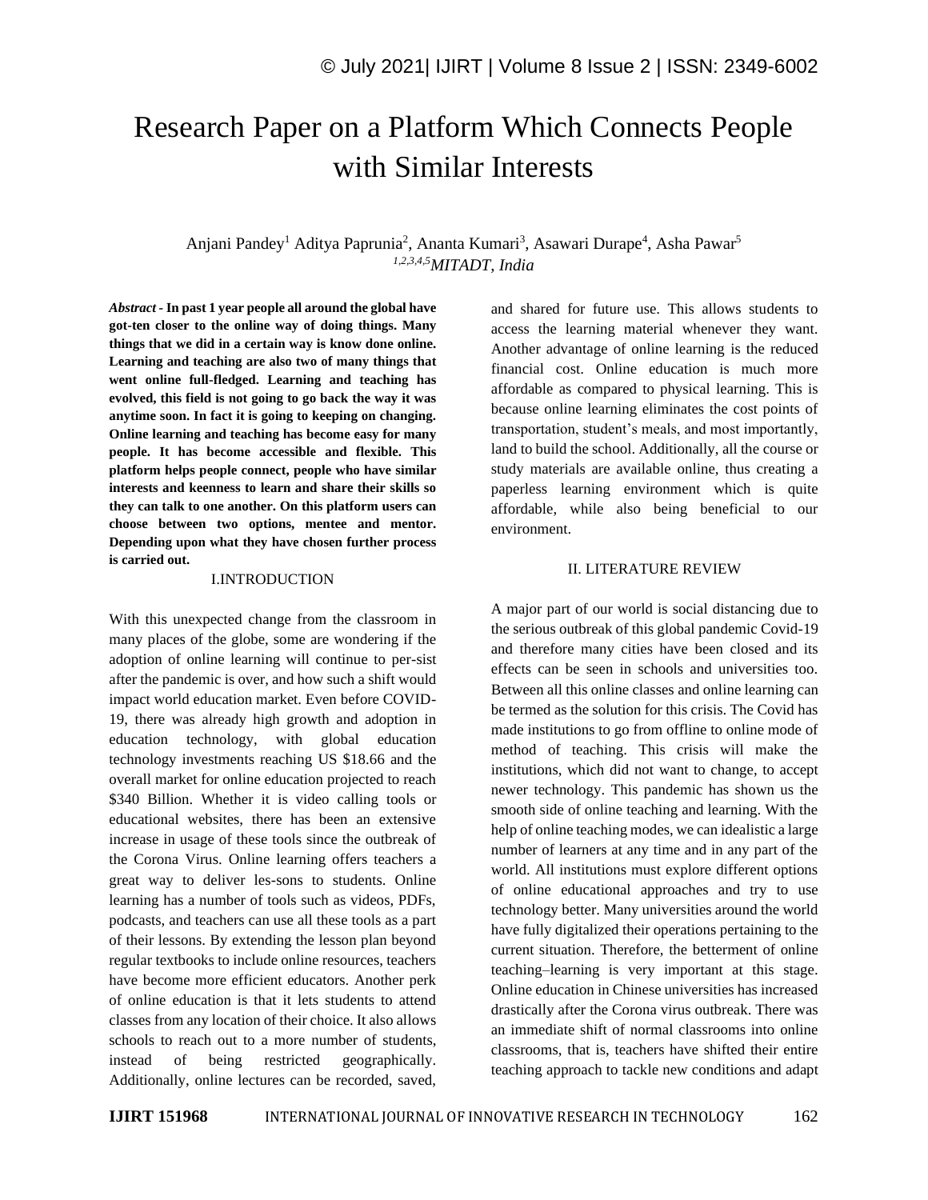# Research Paper on a Platform Which Connects People with Similar Interests

## Anjani Pandey<sup>1</sup> Aditya Paprunia<sup>2</sup>, Ananta Kumari<sup>3</sup>, Asawari Durape<sup>4</sup>, Asha Pawar<sup>5</sup> *1,2,3,4,5MITADT, India*

*Abstract -* **In past 1 year people all around the global have got-ten closer to the online way of doing things. Many things that we did in a certain way is know done online. Learning and teaching are also two of many things that went online full-fledged. Learning and teaching has evolved, this field is not going to go back the way it was anytime soon. In fact it is going to keeping on changing. Online learning and teaching has become easy for many people. It has become accessible and flexible. This platform helps people connect, people who have similar interests and keenness to learn and share their skills so they can talk to one another. On this platform users can choose between two options, mentee and mentor. Depending upon what they have chosen further process is carried out.**

#### I.INTRODUCTION

With this unexpected change from the classroom in many places of the globe, some are wondering if the adoption of online learning will continue to per-sist after the pandemic is over, and how such a shift would impact world education market. Even before COVID-19, there was already high growth and adoption in education technology, with global education technology investments reaching US \$18.66 and the overall market for online education projected to reach \$340 Billion. Whether it is video calling tools or educational websites, there has been an extensive increase in usage of these tools since the outbreak of the Corona Virus. Online learning offers teachers a great way to deliver les-sons to students. Online learning has a number of tools such as videos, PDFs, podcasts, and teachers can use all these tools as a part of their lessons. By extending the lesson plan beyond regular textbooks to include online resources, teachers have become more efficient educators. Another perk of online education is that it lets students to attend classes from any location of their choice. It also allows schools to reach out to a more number of students, instead of being restricted geographically. Additionally, online lectures can be recorded, saved, and shared for future use. This allows students to access the learning material whenever they want. Another advantage of online learning is the reduced financial cost. Online education is much more affordable as compared to physical learning. This is because online learning eliminates the cost points of transportation, student's meals, and most importantly, land to build the school. Additionally, all the course or study materials are available online, thus creating a paperless learning environment which is quite affordable, while also being beneficial to our environment.

### II. LITERATURE REVIEW

A major part of our world is social distancing due to the serious outbreak of this global pandemic Covid-19 and therefore many cities have been closed and its effects can be seen in schools and universities too. Between all this online classes and online learning can be termed as the solution for this crisis. The Covid has made institutions to go from offline to online mode of method of teaching. This crisis will make the institutions, which did not want to change, to accept newer technology. This pandemic has shown us the smooth side of online teaching and learning. With the help of online teaching modes, we can idealistic a large number of learners at any time and in any part of the world. All institutions must explore different options of online educational approaches and try to use technology better. Many universities around the world have fully digitalized their operations pertaining to the current situation. Therefore, the betterment of online teaching–learning is very important at this stage. Online education in Chinese universities has increased drastically after the Corona virus outbreak. There was an immediate shift of normal classrooms into online classrooms, that is, teachers have shifted their entire teaching approach to tackle new conditions and adapt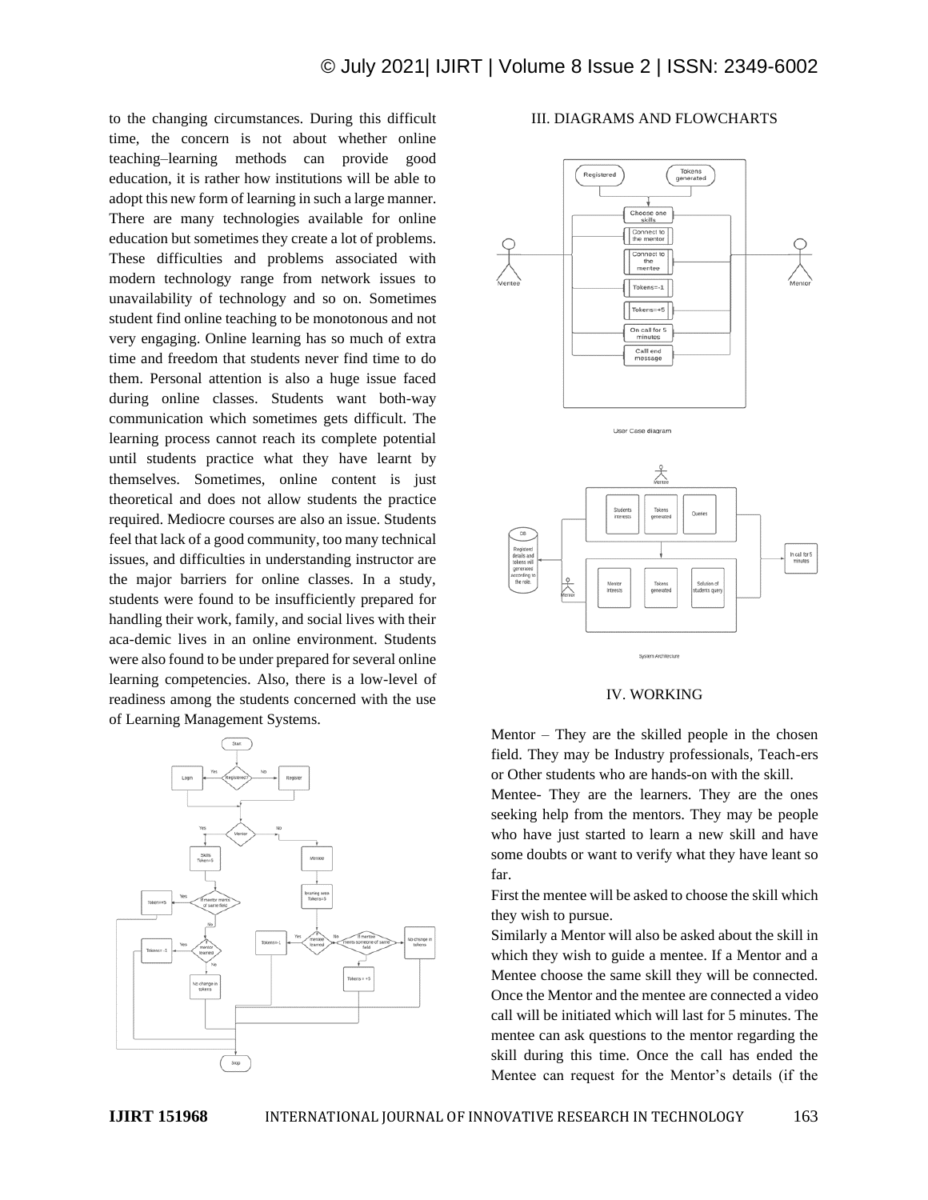to the changing circumstances. During this difficult time, the concern is not about whether online teaching–learning methods can provide good education, it is rather how institutions will be able to adopt this new form of learning in such a large manner. There are many technologies available for online education but sometimes they create a lot of problems. These difficulties and problems associated with modern technology range from network issues to unavailability of technology and so on. Sometimes student find online teaching to be monotonous and not very engaging. Online learning has so much of extra time and freedom that students never find time to do them. Personal attention is also a huge issue faced during online classes. Students want both-way communication which sometimes gets difficult. The learning process cannot reach its complete potential until students practice what they have learnt by themselves. Sometimes, online content is just theoretical and does not allow students the practice required. Mediocre courses are also an issue. Students feel that lack of a good community, too many technical issues, and difficulties in understanding instructor are the major barriers for online classes. In a study, students were found to be insufficiently prepared for handling their work, family, and social lives with their aca-demic lives in an online environment. Students were also found to be under prepared for several online learning competencies. Also, there is a low-level of readiness among the students concerned with the use of Learning Management Systems.



#### III. DIAGRAMS AND FLOWCHARTS



#### IV. WORKING

Mentor – They are the skilled people in the chosen field. They may be Industry professionals, Teach-ers or Other students who are hands-on with the skill.

Mentee- They are the learners. They are the ones seeking help from the mentors. They may be people who have just started to learn a new skill and have some doubts or want to verify what they have leant so far.

First the mentee will be asked to choose the skill which they wish to pursue.

Similarly a Mentor will also be asked about the skill in which they wish to guide a mentee. If a Mentor and a Mentee choose the same skill they will be connected. Once the Mentor and the mentee are connected a video call will be initiated which will last for 5 minutes. The mentee can ask questions to the mentor regarding the skill during this time. Once the call has ended the Mentee can request for the Mentor's details (if the